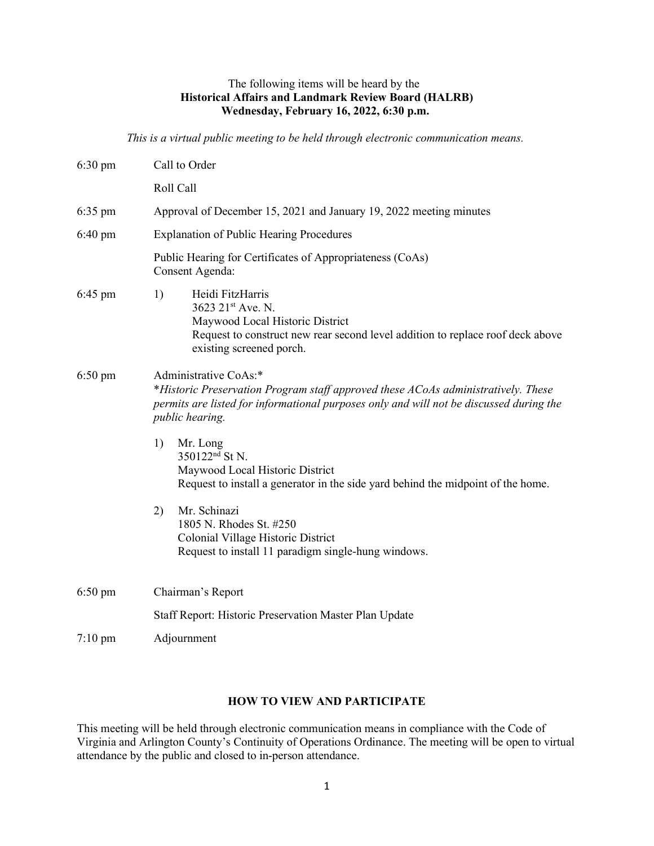## The following items will be heard by the **Historical Affairs and Landmark Review Board (HALRB) Wednesday, February 16, 2022, 6:30 p.m.**

*This is a virtual public meeting to be held through electronic communication means.*

| $6:30 \text{ pm}$ | Call to Order                                                                                                                                                                                                                   |
|-------------------|---------------------------------------------------------------------------------------------------------------------------------------------------------------------------------------------------------------------------------|
|                   | Roll Call                                                                                                                                                                                                                       |
| $6:35 \text{ pm}$ | Approval of December 15, 2021 and January 19, 2022 meeting minutes                                                                                                                                                              |
| $6:40 \text{ pm}$ | <b>Explanation of Public Hearing Procedures</b>                                                                                                                                                                                 |
|                   | Public Hearing for Certificates of Appropriateness (CoAs)<br>Consent Agenda:                                                                                                                                                    |
| 6:45 pm           | Heidi FitzHarris<br>1)<br>3623 21st Ave. N.<br>Maywood Local Historic District<br>Request to construct new rear second level addition to replace roof deck above<br>existing screened porch.                                    |
| $6:50 \text{ pm}$ | Administrative CoAs:*<br>*Historic Preservation Program staff approved these ACoAs administratively. These<br>permits are listed for informational purposes only and will not be discussed during the<br><i>public hearing.</i> |
|                   | 1)<br>Mr. Long<br>350122 <sup>nd</sup> St N.<br>Maywood Local Historic District<br>Request to install a generator in the side yard behind the midpoint of the home.                                                             |
|                   | Mr. Schinazi<br>2)<br>1805 N. Rhodes St. #250<br>Colonial Village Historic District<br>Request to install 11 paradigm single-hung windows.                                                                                      |
| $6:50 \text{ pm}$ | Chairman's Report                                                                                                                                                                                                               |
|                   | Staff Report: Historic Preservation Master Plan Update                                                                                                                                                                          |
| $7:10 \text{ pm}$ | Adjournment                                                                                                                                                                                                                     |

## **HOW TO VIEW AND PARTICIPATE**

This meeting will be held through electronic communication means in compliance with the Code of Virginia and Arlington County's Continuity of Operations Ordinance. The meeting will be open to virtual attendance by the public and closed to in-person attendance.